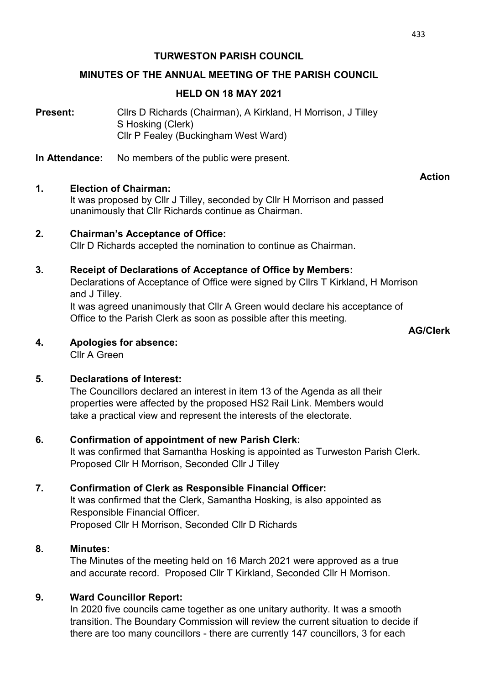### TURWESTON PARISH COUNCIL

### MINUTES OF THE ANNUAL MEETING OF THE PARISH COUNCIL

### HELD ON 18 MAY 2021

**Present:** Cllrs D Richards (Chairman), A Kirkland, H Morrison, J Tilley S Hosking (Clerk) Cllr P Fealey (Buckingham West Ward)

In Attendance: No members of the public were present.

### 1. Election of Chairman:

It was proposed by Cllr J Tilley, seconded by Cllr H Morrison and passed unanimously that Cllr Richards continue as Chairman.

### 2. Chairman's Acceptance of Office:

Cllr D Richards accepted the nomination to continue as Chairman.

### 3. Receipt of Declarations of Acceptance of Office by Members:

Declarations of Acceptance of Office were signed by Cllrs T Kirkland, H Morrison and J Tilley.

 It was agreed unanimously that Cllr A Green would declare his acceptance of Office to the Parish Clerk as soon as possible after this meeting.

AG/Clerk

Action

### 4. Apologies for absence:

Cllr A Green

# 5. Declarations of Interest:

The Councillors declared an interest in item 13 of the Agenda as all their properties were affected by the proposed HS2 Rail Link. Members would take a practical view and represent the interests of the electorate.

# 6. Confirmation of appointment of new Parish Clerk:

It was confirmed that Samantha Hosking is appointed as Turweston Parish Clerk. Proposed Cllr H Morrison, Seconded Cllr J Tilley

#### 7. Confirmation of Clerk as Responsible Financial Officer:

It was confirmed that the Clerk, Samantha Hosking, is also appointed as Responsible Financial Officer. Proposed Cllr H Morrison, Seconded Cllr D Richards

#### 8. Minutes:

The Minutes of the meeting held on 16 March 2021 were approved as a true and accurate record. Proposed Cllr T Kirkland, Seconded Cllr H Morrison.

# 9. Ward Councillor Report:

In 2020 five councils came together as one unitary authority. It was a smooth transition. The Boundary Commission will review the current situation to decide if there are too many councillors - there are currently 147 councillors, 3 for each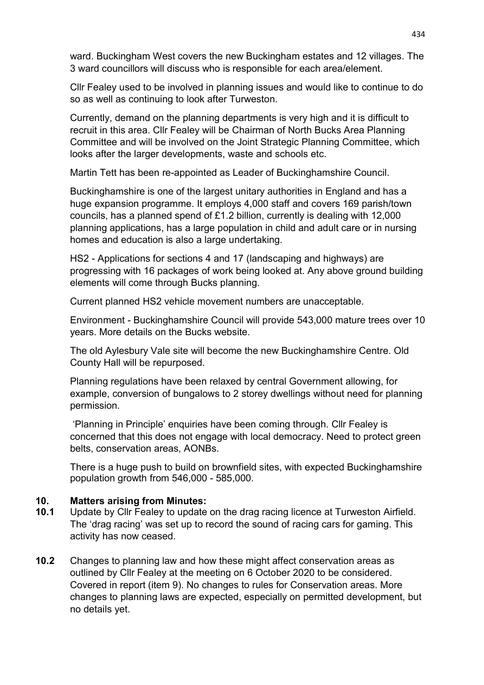ward. Buckingham West covers the new Buckingham estates and 12 villages. The 3 ward councillors will discuss who is responsible for each area/element.

Cllr Fealey used to be involved in planning issues and would like to continue to do so as well as continuing to look after Turweston.

Currently, demand on the planning departments is very high and it is difficult to recruit in this area. Cllr Fealey will be Chairman of North Bucks Area Planning Committee and will be involved on the Joint Strategic Planning Committee, which looks after the larger developments, waste and schools etc.

Martin Tett has been re-appointed as Leader of Buckinghamshire Council.

Buckinghamshire is one of the largest unitary authorities in England and has a huge expansion programme. It employs 4,000 staff and covers 169 parish/town councils, has a planned spend of £1.2 billion, currently is dealing with 12,000 planning applications, has a large population in child and adult care or in nursing homes and education is also a large undertaking.

HS2 - Applications for sections 4 and 17 (landscaping and highways) are progressing with 16 packages of work being looked at. Any above ground building elements will come through Bucks planning.

Current planned HS2 vehicle movement numbers are unacceptable.

Environment - Buckinghamshire Council will provide 543,000 mature trees over 10 years. More details on the Bucks website.

The old Aylesbury Vale site will become the new Buckinghamshire Centre. Old County Hall will be repurposed.

Planning regulations have been relaxed by central Government allowing, for example, conversion of bungalows to 2 storey dwellings without need for planning permission.

 'Planning in Principle' enquiries have been coming through. Cllr Fealey is concerned that this does not engage with local democracy. Need to protect green belts, conservation areas, AONBs.

There is a huge push to build on brownfield sites, with expected Buckinghamshire population growth from 546,000 - 585,000.

# 10. Matters arising from Minutes:

- 10.1 Update by Cllr Fealey to update on the drag racing licence at Turweston Airfield. The 'drag racing' was set up to record the sound of racing cars for gaming. This activity has now ceased.
- 10.2 Changes to planning law and how these might affect conservation areas as outlined by Cllr Fealey at the meeting on 6 October 2020 to be considered. Covered in report (item 9). No changes to rules for Conservation areas. More changes to planning laws are expected, especially on permitted development, but no details yet.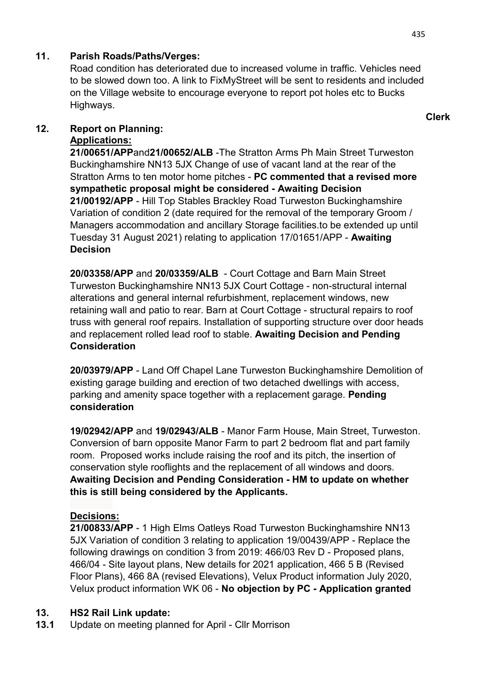# 11 . Parish Roads/Paths/Verges:

Road condition has deteriorated due to increased volume in traffic. Vehicles need to be slowed down too. A link to FixMyStreet will be sent to residents and included on the Village website to encourage everyone to report pot holes etc to Bucks Highways.

# 12. Report on Planning:

# Applications:

21/00651/APPand21/00652/ALB -The Stratton Arms Ph Main Street Turweston Buckinghamshire NN13 5JX Change of use of vacant land at the rear of the Stratton Arms to ten motor home pitches - PC commented that a revised more sympathetic proposal might be considered - Awaiting Decision 21/00192/APP - Hill Top Stables Brackley Road Turweston Buckinghamshire Variation of condition 2 (date required for the removal of the temporary Groom / Managers accommodation and ancillary Storage facilities.to be extended up until Tuesday 31 August 2021) relating to application 17/01651/APP - Awaiting **Decision** 

20/03358/APP and 20/03359/ALB - Court Cottage and Barn Main Street Turweston Buckinghamshire NN13 5JX Court Cottage - non-structural internal alterations and general internal refurbishment, replacement windows, new retaining wall and patio to rear. Barn at Court Cottage - structural repairs to roof truss with general roof repairs. Installation of supporting structure over door heads and replacement rolled lead roof to stable. Awaiting Decision and Pending **Consideration** 

20/03979/APP - Land Off Chapel Lane Turweston Buckinghamshire Demolition of existing garage building and erection of two detached dwellings with access, parking and amenity space together with a replacement garage. Pending consideration

19/02942/APP and 19/02943/ALB - Manor Farm House, Main Street, Turweston. Conversion of barn opposite Manor Farm to part 2 bedroom flat and part family room. Proposed works include raising the roof and its pitch, the insertion of conservation style rooflights and the replacement of all windows and doors. Awaiting Decision and Pending Consideration - HM to update on whether this is still being considered by the Applicants.

# Decisions:

21/00833/APP - 1 High Elms Oatleys Road Turweston Buckinghamshire NN13 5JX Variation of condition 3 relating to application 19/00439/APP - Replace the following drawings on condition 3 from 2019: 466/03 Rev D - Proposed plans, 466/04 - Site layout plans, New details for 2021 application, 466 5 B (Revised Floor Plans), 466 8A (revised Elevations), Velux Product information July 2020, Velux product information WK 06 - No objection by PC - Application granted

# 13. HS2 Rail Link update:

13.1 Update on meeting planned for April - Cllr Morrison

Clerk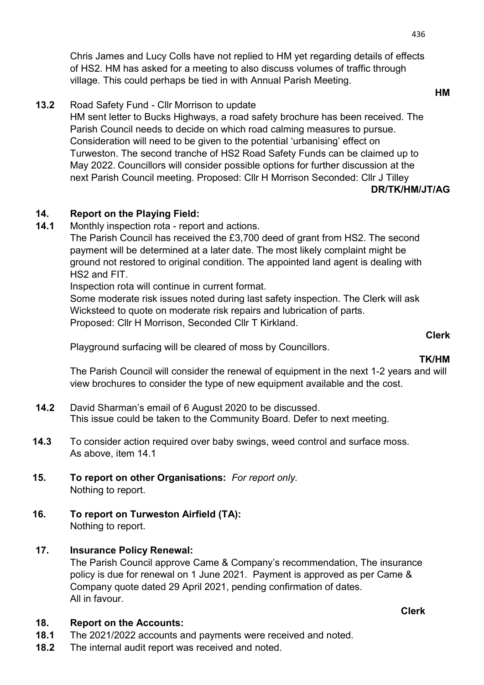13.2 Road Safety Fund - Cllr Morrison to update

 HM sent letter to Bucks Highways, a road safety brochure has been received. The Parish Council needs to decide on which road calming measures to pursue. Consideration will need to be given to the potential 'urbanising' effect on Turweston. The second tranche of HS2 Road Safety Funds can be claimed up to May 2022. Councillors will consider possible options for further discussion at the next Parish Council meeting. Proposed: Cllr H Morrison Seconded: Cllr J Tilley

#### DR/TK/HM/JT/AG

# 14. Report on the Playing Field:

14.1 Monthly inspection rota - report and actions.

 The Parish Council has received the £3,700 deed of grant from HS2. The second payment will be determined at a later date. The most likely complaint might be ground not restored to original condition. The appointed land agent is dealing with HS2 and FIT.

Inspection rota will continue in current format.

 Some moderate risk issues noted during last safety inspection. The Clerk will ask Wicksteed to quote on moderate risk repairs and lubrication of parts. Proposed: Cllr H Morrison, Seconded Cllr T Kirkland.

Clerk

Playground surfacing will be cleared of moss by Councillors.

The Parish Council will consider the renewal of equipment in the next 1-2 years and will view brochures to consider the type of new equipment available and the cost.

- 14.2 David Sharman's email of 6 August 2020 to be discussed. This issue could be taken to the Community Board. Defer to next meeting.
- 14.3 To consider action required over baby swings, weed control and surface moss. As above, item 14.1
- 15. To report on other Organisations: For report only. Nothing to report.
- 16. To report on Turweston Airfield (TA): Nothing to report.
- 17. Insurance Policy Renewal:

 The Parish Council approve Came & Company's recommendation, The insurance policy is due for renewal on 1 June 2021. Payment is approved as per Came & Company quote dated 29 April 2021, pending confirmation of dates. All in favour.

#### 18. Report on the Accounts:

- 18.1 The 2021/2022 accounts and payments were received and noted.
- 18.2 The internal audit report was received and noted.

436

Clerk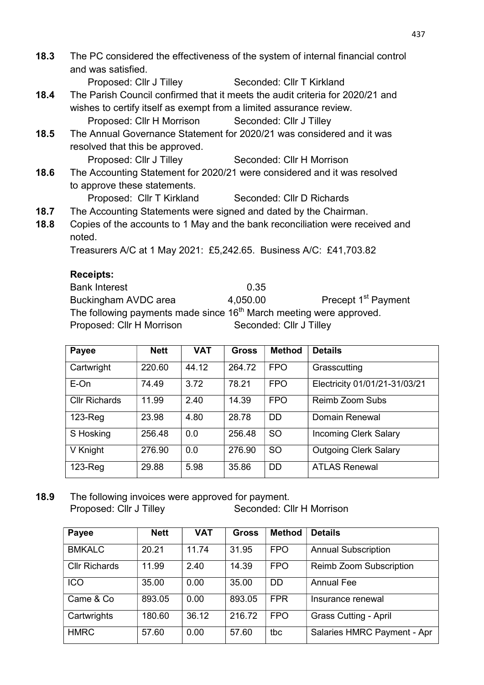18.3 The PC considered the effectiveness of the system of internal financial control and was satisfied.

Proposed: Cllr J Tilley Seconded: Cllr T Kirkland

- 18.4 The Parish Council confirmed that it meets the audit criteria for 2020/21 and wishes to certify itself as exempt from a limited assurance review.
	- Proposed: Cllr H Morrison Seconded: Cllr J Tilley
- 18.5 The Annual Governance Statement for 2020/21 was considered and it was resolved that this be approved.

Proposed: Cllr J Tilley Seconded: Cllr H Morrison

18.6 The Accounting Statement for 2020/21 were considered and it was resolved to approve these statements.

Proposed: Cllr T Kirkland Seconded: Cllr D Richards

- 18.7 The Accounting Statements were signed and dated by the Chairman.
- 18.8 Copies of the accounts to 1 May and the bank reconciliation were received and noted.

Treasurers A/C at 1 May 2021: £5,242.65. Business A/C: £41,703.82

# Receipts:

Bank Interest 6.35 Buckingham AVDC area  $4.050.00$  Precept 1<sup>st</sup> Payment The following payments made since  $16<sup>th</sup>$  March meeting were approved. Proposed: Cllr H Morrison Seconded: Cllr J Tilley

| Payee                | <b>Nett</b> | VAT   | <b>Gross</b> | <b>Method</b> | <b>Details</b>                |
|----------------------|-------------|-------|--------------|---------------|-------------------------------|
| Cartwright           | 220.60      | 44.12 | 264.72       | <b>FPO</b>    | Grasscutting                  |
| E-On                 | 74.49       | 3.72  | 78.21        | <b>FPO</b>    | Electricity 01/01/21-31/03/21 |
| <b>Cllr Richards</b> | 11.99       | 2.40  | 14.39        | <b>FPO</b>    | <b>Reimb Zoom Subs</b>        |
| $123$ -Reg           | 23.98       | 4.80  | 28.78        | <b>DD</b>     | Domain Renewal                |
| S Hosking            | 256.48      | 0.0   | 256.48       | <b>SO</b>     | <b>Incoming Clerk Salary</b>  |
| V Knight             | 276.90      | 0.0   | 276.90       | <b>SO</b>     | <b>Outgoing Clerk Salary</b>  |
| $123$ -Reg           | 29.88       | 5.98  | 35.86        | <b>DD</b>     | <b>ATLAS Renewal</b>          |

18.9 The following invoices were approved for payment. Proposed: Cllr J Tilley Seconded: Cllr H Morrison

| Payee                | <b>Nett</b> | <b>VAT</b> | <b>Gross</b> | <b>Method</b> | <b>Details</b>                 |
|----------------------|-------------|------------|--------------|---------------|--------------------------------|
| <b>BMKALC</b>        | 20.21       | 11.74      | 31.95        | <b>FPO</b>    | <b>Annual Subscription</b>     |
| <b>Cllr Richards</b> | 11.99       | 2.40       | 14.39        | <b>FPO</b>    | <b>Reimb Zoom Subscription</b> |
| <b>ICO</b>           | 35.00       | 0.00       | 35.00        | <b>DD</b>     | <b>Annual Fee</b>              |
| Came & Co            | 893.05      | 0.00       | 893.05       | <b>FPR</b>    | Insurance renewal              |
| Cartwrights          | 180.60      | 36.12      | 216.72       | <b>FPO</b>    | <b>Grass Cutting - April</b>   |
| <b>HMRC</b>          | 57.60       | 0.00       | 57.60        | tbc           | Salaries HMRC Payment - Apr    |